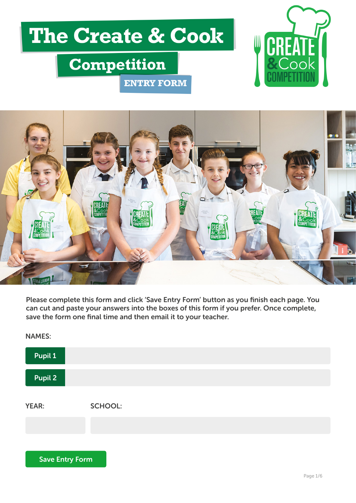# The Create & Cook

**ENTRY FORM** 

## **Competition**





Please complete this form and click 'Save Entry Form' button as you finish each page. You can cut and paste your answers into the boxes of this form if you prefer. Once complete, save the form one final time and then email it to your teacher.

YEAR: SCHOOL: Pupil 1 Pupil 2 NAMES: Save Entry Form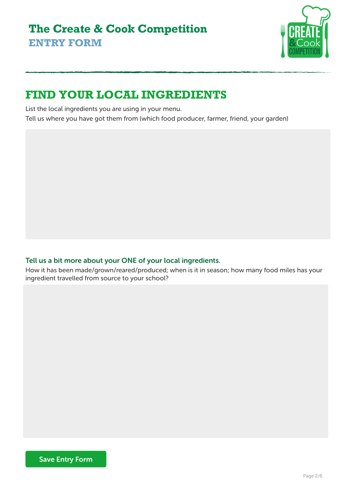

## **FIND YOUR LOCAL INGREDIENTS**

List the local ingredients you are using in your menu.

Tell us where you have got them from (which food producer, farmer, friend, your garden)

#### Tell us a bit more about your ONE of your local ingredients.

How it has been made/grown/reared/produced; when is it in season; how many food miles has your ingredient travelled from source to your school?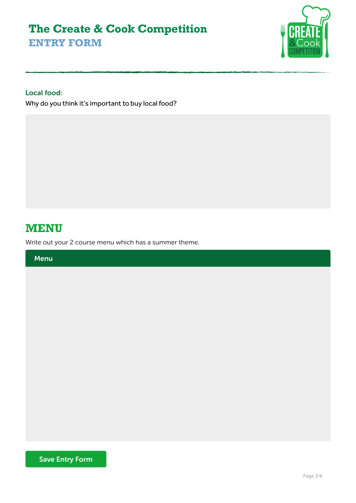

#### Local food:

Why do you think it's important to buy local food?

### **0ENU**

Write out your 2 course menu which has a summer theme.

Menu

Save Entry Form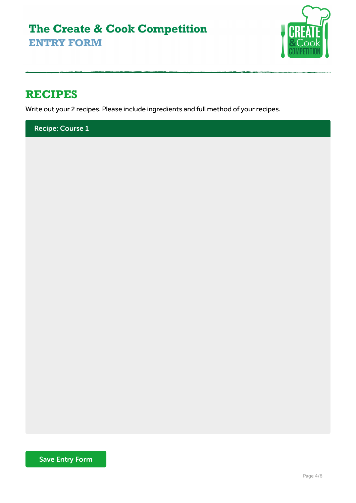

## **RECIPES**

Write out your 2 recipes. Please include ingredients and full method of your recipes.

Recipe: Course 1

Save Entry Form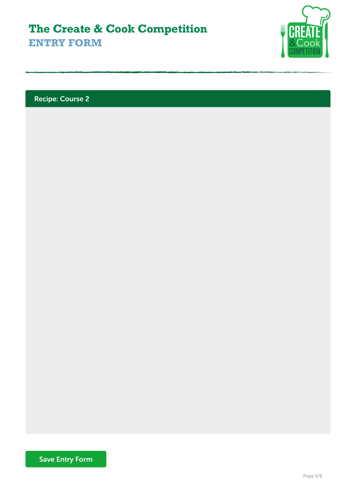

Recipe: Course 2

Save Entry Form